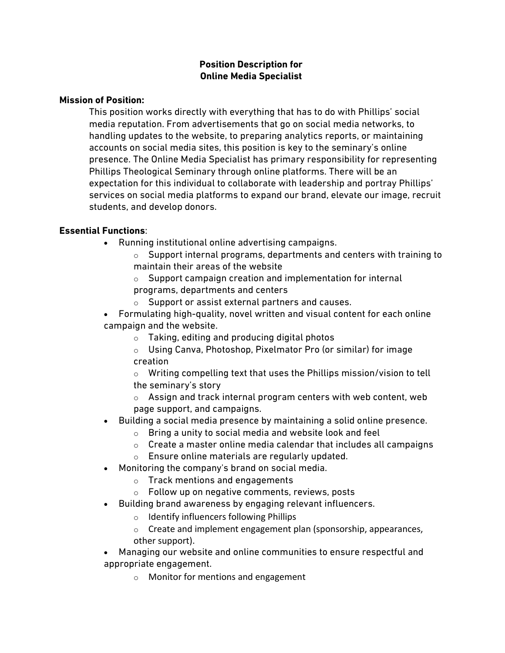# **Position Description for Online Media Specialist**

### **Mission of Position:**

This position works directly with everything that has to do with Phillips' social media reputation. From advertisements that go on social media networks, to handling updates to the website, to preparing analytics reports, or maintaining accounts on social media sites, this position is key to the seminary's online presence. The Online Media Specialist has primary responsibility for representing Phillips Theological Seminary through online platforms. There will be an expectation for this individual to collaborate with leadership and portray Phillips' services on social media platforms to expand our brand, elevate our image, recruit students, and develop donors.

# **Essential Functions**:

- Running institutional online advertising campaigns.
	- $\circ$  Support internal programs, departments and centers with training to maintain their areas of the website
	- $\circ$  Support campaign creation and implementation for internal programs, departments and centers
	- o Support or assist external partners and causes.
- Formulating high-quality, novel written and visual content for each online campaign and the website.
	- $\circ$  Taking, editing and producing digital photos
	- o Using Canva, Photoshop, Pixelmator Pro (or similar) for image creation
	- o Writing compelling text that uses the Phillips mission/vision to tell the seminary's story
	- o Assign and track internal program centers with web content, web page support, and campaigns.
- Building a social media presence by maintaining a solid online presence.
	- o Bring a unity to social media and website look and feel
	- $\circ$  Create a master online media calendar that includes all campaigns
	- o Ensure online materials are regularly updated.
- Monitoring the company's brand on social media.
	- o Track mentions and engagements
	- $\circ$  Follow up on negative comments, reviews, posts
- Building brand awareness by engaging relevant influencers.
	- o Identify influencers following Phillips
	- o Create and implement engagement plan (sponsorship, appearances, other support).
- Managing our website and online communities to ensure respectful and appropriate engagement.
	- o Monitor for mentions and engagement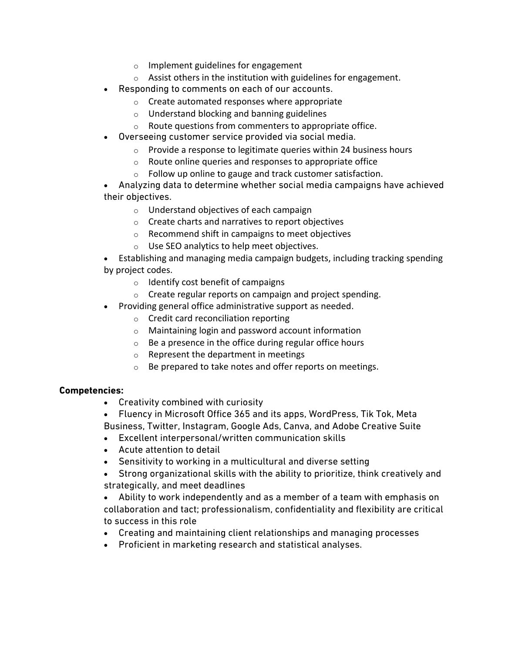- o Implement guidelines for engagement
- o Assist others in the institution with guidelines for engagement.
- Responding to comments on each of our accounts.
	- o Create automated responses where appropriate
	- o Understand blocking and banning guidelines
	- o Route questions from commenters to appropriate office.
- Overseeing customer service provided via social media.
	- o Provide a response to legitimate queries within 24 business hours
	- o Route online queries and responses to appropriate office
	- o Follow up online to gauge and track customer satisfaction.

• Analyzing data to determine whether social media campaigns have achieved their objectives.

- o Understand objectives of each campaign
- o Create charts and narratives to report objectives
- o Recommend shift in campaigns to meet objectives
- o Use SEO analytics to help meet objectives.
- Establishing and managing media campaign budgets, including tracking spending by project codes.
	- $\circ$  Identify cost benefit of campaigns
	- o Create regular reports on campaign and project spending.
- Providing general office administrative support as needed.
	- o Credit card reconciliation reporting
	- o Maintaining login and password account information
	- $\circ$  Be a presence in the office during regular office hours
	- o Represent the department in meetings
	- o Be prepared to take notes and offer reports on meetings.

### **Competencies:**

- Creativity combined with curiosity
- Fluency in Microsoft Office 365 and its apps, WordPress, Tik Tok, Meta Business, Twitter, Instagram, Google Ads, Canva, and Adobe Creative Suite
- Excellent interpersonal/written communication skills
- Acute attention to detail
- Sensitivity to working in a multicultural and diverse setting
- Strong organizational skills with the ability to prioritize, think creatively and strategically, and meet deadlines
- Ability to work independently and as a member of a team with emphasis on collaboration and tact; professionalism, confidentiality and flexibility are critical to success in this role
- Creating and maintaining client relationships and managing processes
- Proficient in marketing research and statistical analyses.